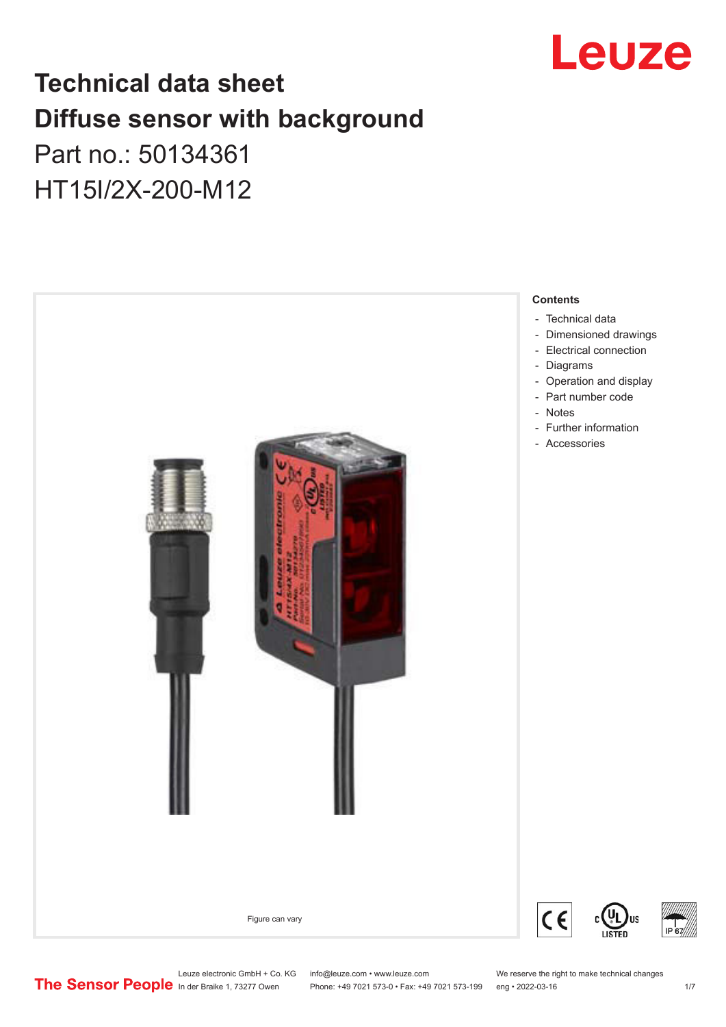

## **Technical data sheet Diffuse sensor with background**

## Part no.: 50134361 HT15I/2X-200-M12



Leuze electronic GmbH + Co. KG info@leuze.com • www.leuze.com We reserve the right to make technical changes<br>
The Sensor People in der Braike 1, 73277 Owen Phone: +49 7021 573-0 • Fax: +49 7021 573-199 eng • 2022-03-16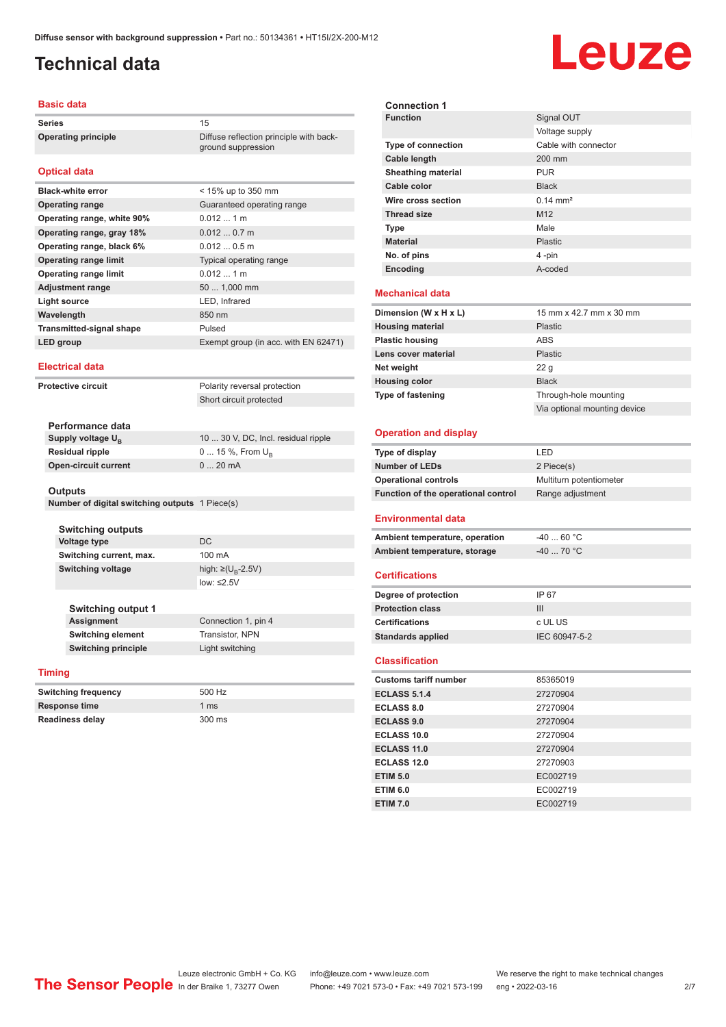ground suppression

## <span id="page-1-0"></span>**Technical data**

# Leuze

#### **Basic data**

Series 15 **Operating principle** Diffuse reflection principle with back-

#### **Optical data**

| <b>Black-white error</b>        | $<$ 15% up to 350 mm                 |
|---------------------------------|--------------------------------------|
| <b>Operating range</b>          | Guaranteed operating range           |
| Operating range, white 90%      | $0.0121$ m                           |
| Operating range, gray 18%       | 0.0120.7m                            |
| Operating range, black 6%       | $0.0120.5$ m                         |
| <b>Operating range limit</b>    | Typical operating range              |
| <b>Operating range limit</b>    | $0.0121$ m                           |
| <b>Adjustment range</b>         | 50  1,000 mm                         |
| Light source                    | LED, Infrared                        |
| Wavelength                      | 850 nm                               |
| <b>Transmitted-signal shape</b> | Pulsed                               |
| <b>LED</b> group                | Exempt group (in acc. with EN 62471) |

#### **Electrical data**

**Protective circuit** Polarity reversal protection Short circuit protected

| 10  30 V, DC, Incl. residual ripple |
|-------------------------------------|
| $0 15 \%$ , From $U_{p}$            |
| $020$ mA                            |
|                                     |

#### **Outputs**

**Number of digital switching outputs** 1 Piece(s)

| <b>Switching outputs</b>  |                                     |  |
|---------------------------|-------------------------------------|--|
| <b>Voltage type</b>       | DC.                                 |  |
| Switching current, max.   | 100 mA                              |  |
| Switching voltage         | high: $\geq$ (U <sub>R</sub> -2.5V) |  |
|                           | low: $\leq 2.5V$                    |  |
|                           |                                     |  |
| <b>Switching output 1</b> |                                     |  |
| <b>Assignment</b>         | Connection 1, pin 4                 |  |
| <b>Switching element</b>  | Transistor, NPN                     |  |

#### **Timing**

| <b>Switching frequency</b> | 500 Hz         |
|----------------------------|----------------|
| <b>Response time</b>       | $1 \text{ ms}$ |
| <b>Readiness delay</b>     | 300 ms         |

**Switching principle** Light switching

| <b>Connection 1</b>       |                         |  |
|---------------------------|-------------------------|--|
| <b>Function</b>           | Signal OUT              |  |
|                           | Voltage supply          |  |
| <b>Type of connection</b> | Cable with connector    |  |
| Cable length              | 200 mm                  |  |
| <b>Sheathing material</b> | <b>PUR</b>              |  |
| Cable color               | <b>Black</b>            |  |
| Wire cross section        | $0.14 \text{ mm}^2$     |  |
| <b>Thread size</b>        | M <sub>12</sub>         |  |
| <b>Type</b>               | Male                    |  |
| <b>Material</b>           | Plastic                 |  |
| No. of pins               | 4-pin                   |  |
| Encoding                  | A-coded                 |  |
| <b>Mechanical data</b>    |                         |  |
| Dimension (W $x$ H $x$ L) | 15 mm x 42 7 mm x 30 mm |  |

| Dimension (W x H x L)    | 15 mm x 42.7 mm x 30 mm      |
|--------------------------|------------------------------|
| <b>Housing material</b>  | <b>Plastic</b>               |
| <b>Plastic housing</b>   | ABS                          |
| Lens cover material      | Plastic                      |
| Net weight               | 22q                          |
| <b>Housing color</b>     | <b>Black</b>                 |
| <b>Type of fastening</b> | Through-hole mounting        |
|                          | Via optional mounting device |

#### **Operation and display**

| Type of display                     | I FD                    |
|-------------------------------------|-------------------------|
| <b>Number of LEDs</b>               | 2 Piece(s)              |
| <b>Operational controls</b>         | Multiturn potentiometer |
| Function of the operational control | Range adjustment        |
|                                     |                         |

#### **Environmental data**

| Ambient temperature, operation | -40  60 °C                       |
|--------------------------------|----------------------------------|
| Ambient temperature, storage   | $-40$ 70 $^{\circ}$ C $^{\circ}$ |

#### **Certifications**

| Degree of protection     | IP 67         |
|--------------------------|---------------|
| <b>Protection class</b>  | Ш             |
| <b>Certifications</b>    | c UL US       |
| <b>Standards applied</b> | IEC 60947-5-2 |

#### **Classification**

| <b>Customs tariff number</b> | 85365019 |
|------------------------------|----------|
| <b>ECLASS 5.1.4</b>          | 27270904 |
| <b>ECLASS 8.0</b>            | 27270904 |
| <b>ECLASS 9.0</b>            | 27270904 |
| ECLASS 10.0                  | 27270904 |
| <b>ECLASS 11.0</b>           | 27270904 |
| ECLASS 12.0                  | 27270903 |
| <b>ETIM 5.0</b>              | EC002719 |
| <b>ETIM 6.0</b>              | EC002719 |
| <b>ETIM 7.0</b>              | EC002719 |

Leuze electronic GmbH + Co. KG info@leuze.com • www.leuze.com We reserve the right to make technical changes<br>
The Sensor People in der Braike 1, 73277 Owen Phone: +49 7021 573-0 • Fax: +49 7021 573-199 eng • 2022-03-16

Phone: +49 7021 573-0 • Fax: +49 7021 573-199 eng • 2022-03-16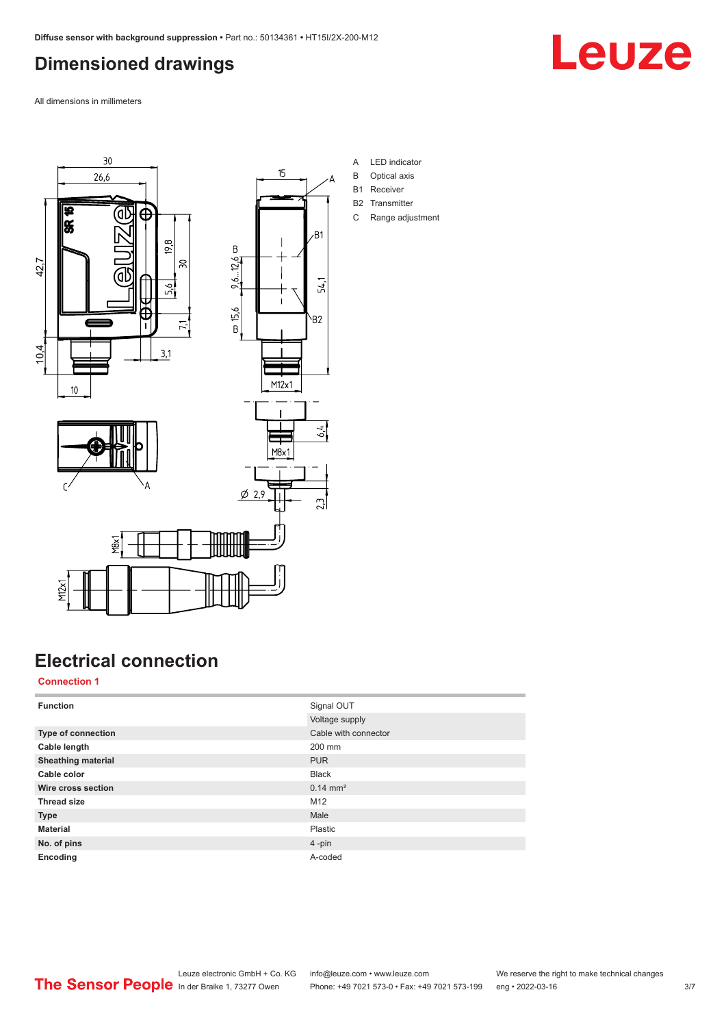## <span id="page-2-0"></span>**Dimensioned drawings**

Leuze

All dimensions in millimeters







- A LED indicator
- B Optical axis
- B1 Receiver
- B2 Transmitter
- C Range adjustment

## **Electrical connection**

#### **Connection 1**

M12x1

| <b>Function</b>           | Signal OUT           |
|---------------------------|----------------------|
|                           | Voltage supply       |
| <b>Type of connection</b> | Cable with connector |
| Cable length              | 200 mm               |
| <b>Sheathing material</b> | <b>PUR</b>           |
| Cable color               | <b>Black</b>         |
| Wire cross section        | $0.14 \text{ mm}^2$  |
| <b>Thread size</b>        | M12                  |
| <b>Type</b>               | Male                 |
| <b>Material</b>           | Plastic              |
| No. of pins               | $4 - pin$            |
| Encoding                  | A-coded              |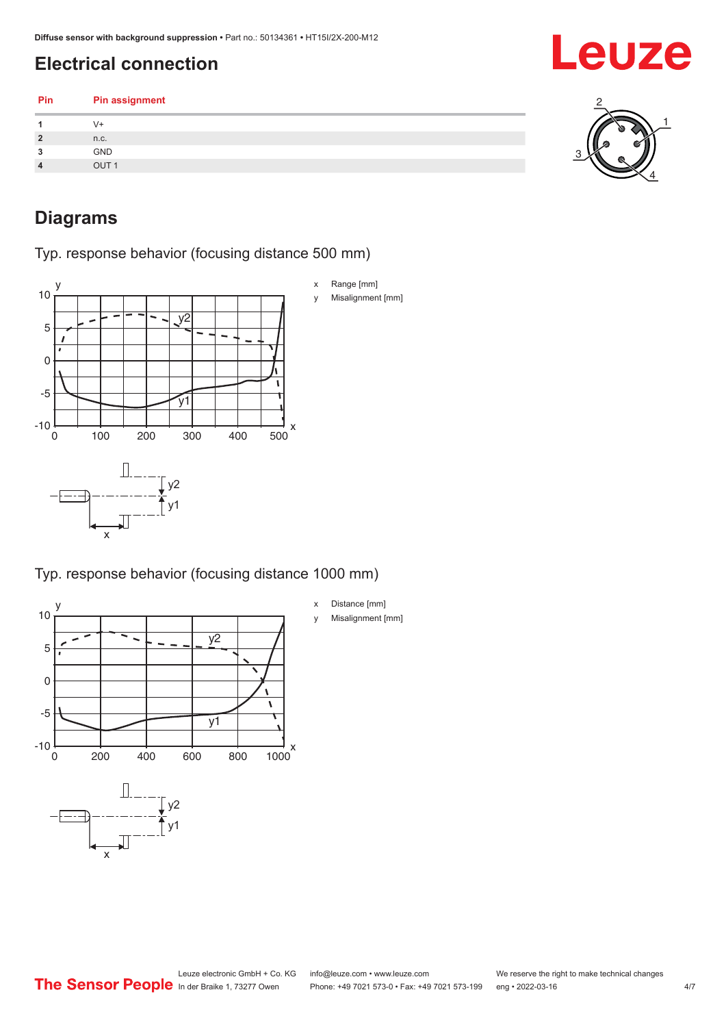## <span id="page-3-0"></span>**Electrical connection**

| Pin            | Pin assignment   |  |
|----------------|------------------|--|
|                | V+               |  |
| $\overline{2}$ | n.c.             |  |
| 3              | GND              |  |
| $\overline{4}$ | OUT <sub>1</sub> |  |
|                |                  |  |

### **Diagrams**

Typ. response behavior (focusing distance 500 mm)



Typ. response behavior (focusing distance 1000 mm)



x Distance [mm] y Misalignment [mm]

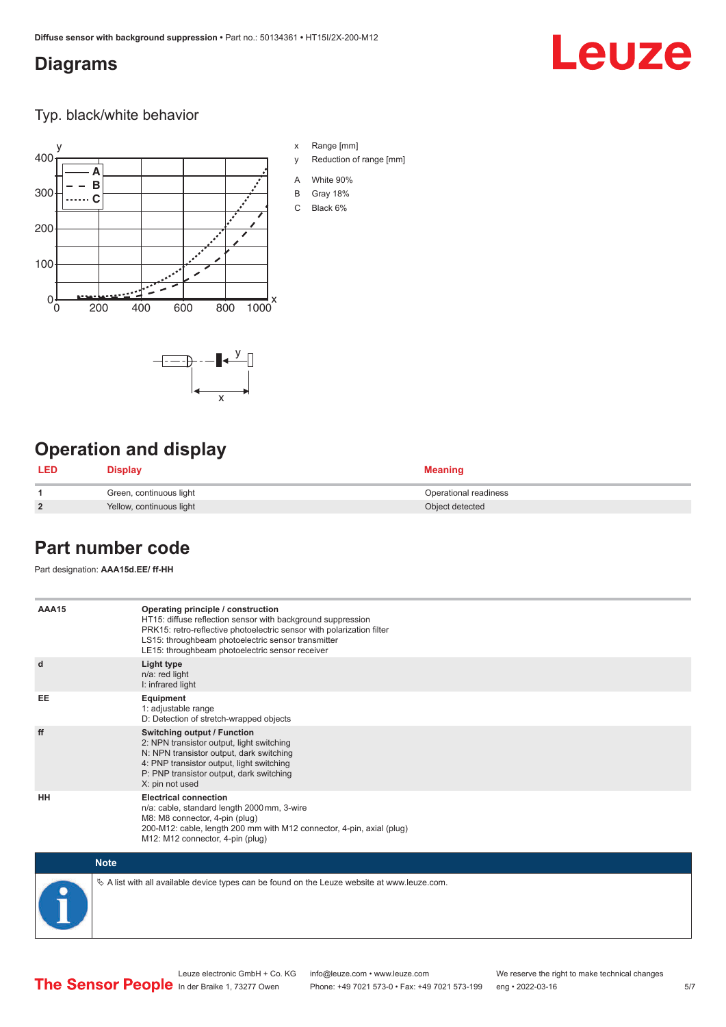### <span id="page-4-0"></span>**Diagrams**

# **Leuze**

Typ. black/white behavior



x

 $-\frac{\gamma}{2}$ 

x Range [mm]

- y Reduction of range [mm]
- A White 90%
- B Gray 18%
- C Black 6%

## **Operation and display**

| <b>LED</b>     | <b>Display</b>           | <b>Meaning</b>        |
|----------------|--------------------------|-----------------------|
|                | Green, continuous light  | Operational readiness |
| $\overline{2}$ | Yellow, continuous light | Object detected       |

#### **Part number code**

Part designation: **AAA15d.EE/ ff-HH**

| AAA15       | Operating principle / construction<br>HT15: diffuse reflection sensor with background suppression<br>PRK15: retro-reflective photoelectric sensor with polarization filter<br>LS15: throughbeam photoelectric sensor transmitter<br>LE15: throughbeam photoelectric sensor receiver |
|-------------|-------------------------------------------------------------------------------------------------------------------------------------------------------------------------------------------------------------------------------------------------------------------------------------|
| d           | Light type<br>n/a: red light<br>I: infrared light                                                                                                                                                                                                                                   |
| EE          | Equipment<br>1: adjustable range<br>D: Detection of stretch-wrapped objects                                                                                                                                                                                                         |
| ff          | <b>Switching output / Function</b><br>2: NPN transistor output, light switching<br>N: NPN transistor output, dark switching<br>4: PNP transistor output, light switching<br>P: PNP transistor output, dark switching<br>X: pin not used                                             |
| HH          | <b>Electrical connection</b><br>n/a: cable, standard length 2000 mm, 3-wire<br>M8: M8 connector, 4-pin (plug)<br>200-M12: cable, length 200 mm with M12 connector, 4-pin, axial (plug)<br>M12: M12 connector, 4-pin (plug)                                                          |
| <b>Note</b> |                                                                                                                                                                                                                                                                                     |

 $\%$  A list with all available device types can be found on the Leuze website at www.leuze.com.

Phone: +49 7021 573-0 • Fax: +49 7021 573-199 eng • 2022-03-16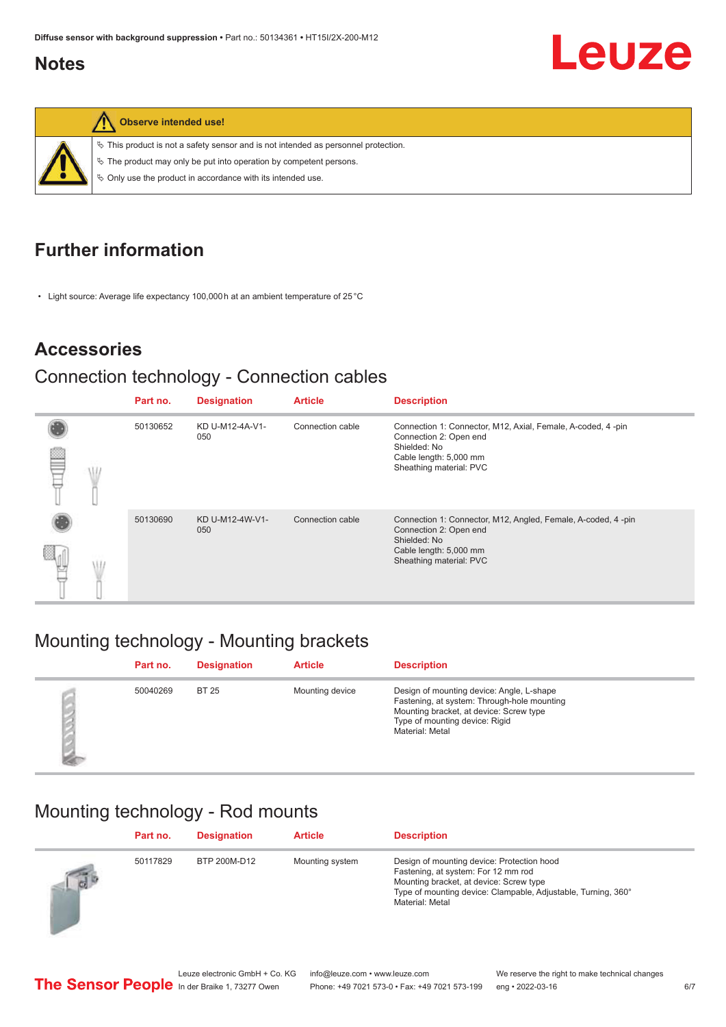#### <span id="page-5-0"></span>**Notes**



**Observe intended use!**

 $\%$  This product is not a safety sensor and is not intended as personnel protection.

 $\%$  The product may only be put into operation by competent persons.

 $\%$  Only use the product in accordance with its intended use.

## **Further information**

• Light source: Average life expectancy 100,000 h at an ambient temperature of 25 °C

#### **Accessories**

#### Connection technology - Connection cables

|  | Part no. | <b>Designation</b>     | <b>Article</b>   | <b>Description</b>                                                                                                                                          |
|--|----------|------------------------|------------------|-------------------------------------------------------------------------------------------------------------------------------------------------------------|
|  | 50130652 | KD U-M12-4A-V1-<br>050 | Connection cable | Connection 1: Connector, M12, Axial, Female, A-coded, 4-pin<br>Connection 2: Open end<br>Shielded: No<br>Cable length: 5,000 mm<br>Sheathing material: PVC  |
|  | 50130690 | KD U-M12-4W-V1-<br>050 | Connection cable | Connection 1: Connector, M12, Angled, Female, A-coded, 4-pin<br>Connection 2: Open end<br>Shielded: No<br>Cable length: 5,000 mm<br>Sheathing material: PVC |

## Mounting technology - Mounting brackets

| Part no. | <b>Designation</b> | <b>Article</b>  | <b>Description</b>                                                                                                                                                                       |
|----------|--------------------|-----------------|------------------------------------------------------------------------------------------------------------------------------------------------------------------------------------------|
| 50040269 | <b>BT 25</b>       | Mounting device | Design of mounting device: Angle, L-shape<br>Fastening, at system: Through-hole mounting<br>Mounting bracket, at device: Screw type<br>Type of mounting device: Rigid<br>Material: Metal |

## Mounting technology - Rod mounts

|            | Part no. | <b>Designation</b> | <b>Article</b>  | <b>Description</b>                                                                                                                                                                                               |
|------------|----------|--------------------|-----------------|------------------------------------------------------------------------------------------------------------------------------------------------------------------------------------------------------------------|
| $\sqrt{d}$ | 50117829 | BTP 200M-D12       | Mounting system | Design of mounting device: Protection hood<br>Fastening, at system: For 12 mm rod<br>Mounting bracket, at device: Screw type<br>Type of mounting device: Clampable, Adjustable, Turning, 360°<br>Material: Metal |

Leuze